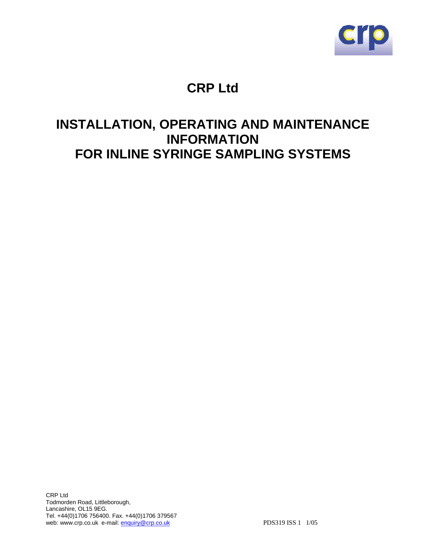

# **CRP Ltd**

# **INSTALLATION, OPERATING AND MAINTENANCE INFORMATION FOR INLINE SYRINGE SAMPLING SYSTEMS**

CRP Ltd Todmorden Road, Littleborough, Lancashire, OL15 9EG. Tel. +44(0)1706 756400. Fax. +44(0)1706 379567 web: www.crp.co.uk e-mail: enquiry@crp.co.uk PDS319 ISS 1 1/05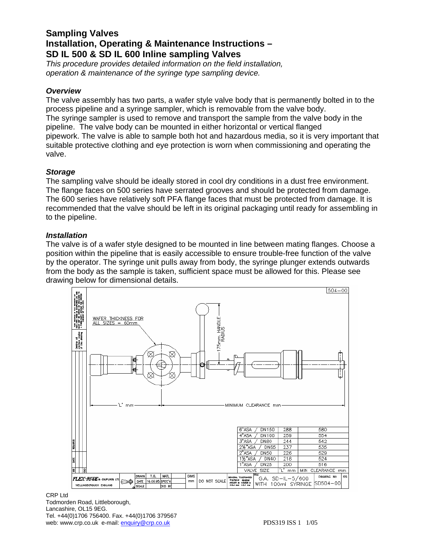# **Sampling Valves Installation, Operating & Maintenance Instructions – SD IL 500 & SD IL 600 Inline sampling Valves**

*This procedure provides detailed information on the field installation, operation & maintenance of the syringe type sampling device.* 

# *Overview*

The valve assembly has two parts, a wafer style valve body that is permanently bolted in to the process pipeline and a syringe sampler, which is removable from the valve body. The syringe sampler is used to remove and transport the sample from the valve body in the pipeline. The valve body can be mounted in either horizontal or vertical flanged pipework. The valve is able to sample both hot and hazardous media, so it is very important that suitable protective clothing and eye protection is worn when commissioning and operating the valve.

## *Storage*

The sampling valve should be ideally stored in cool dry conditions in a dust free environment. The flange faces on 500 series have serrated grooves and should be protected from damage. The 600 series have relatively soft PFA flange faces that must be protected from damage. It is recommended that the valve should be left in its original packaging until ready for assembling in to the pipeline.

## *Installation*

The valve is of a wafer style designed to be mounted in line between mating flanges. Choose a position within the pipeline that is easily accessible to ensure trouble-free function of the valve by the operator. The syringe unit pulls away from body, the syringe plunger extends outwards from the body as the sample is taken, sufficient space must be allowed for this. Please see drawing below for dimensional details.



CRP Ltd Todmorden Road, Littleborough, Lancashire, OL15 9EG. Tel. +44(0)1706 756400. Fax. +44(0)1706 379567 web: www.crp.co.uk e-mail: enquiry@crp.co.uk e-mail: enquiry@crp.co.uk PDS319 ISS 1 1/05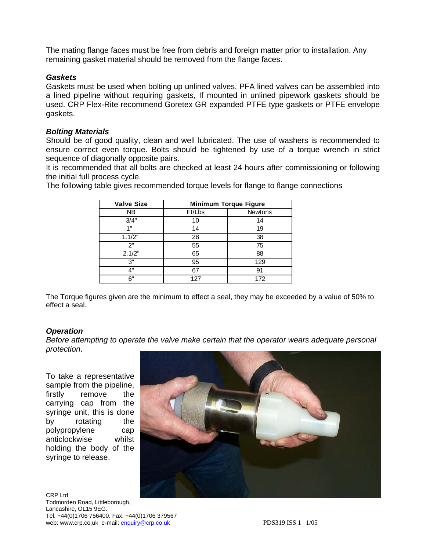The mating flange faces must be free from debris and foreign matter prior to installation. Any remaining gasket material should be removed from the flange faces.

# *Gaskets*

Gaskets must be used when bolting up unlined valves. PFA lined valves can be assembled into a lined pipeline without requiring gaskets, If mounted in unlined pipework gaskets should be used. CRP Flex-Rite recommend Goretex GR expanded PTFE type gaskets or PTFE envelope gaskets.

## *Bolting Materials*

Should be of good quality, clean and well lubricated. The use of washers is recommended to ensure correct even torque. Bolts should be tightened by use of a torque wrench in strict sequence of diagonally opposite pairs.

It is recommended that all bolts are checked at least 24 hours after commissioning or following the initial full process cycle.

The following table gives recommended torque levels for flange to flange connections

| <b>Valve Size</b> | <b>Minimum Torque Figure</b> |                |
|-------------------|------------------------------|----------------|
| NΒ                | Ft/Lbs                       | <b>Newtons</b> |
| 3/4"              | 10                           | 14             |
| 1"                | 14                           | 19             |
| 1.1/2"            | 28                           | 38             |
| 2"                | 55                           | 75             |
| 2.1/2"            | 65                           | 88             |
| 3"                | 95                           | 129            |
| 4"                | 67                           | 91             |
| 6"                | 127                          | 172            |

The Torque figures given are the minimum to effect a seal, they may be exceeded by a value of 50% to effect a seal.

# *Operation*

*Before attempting to operate the valve make certain that the operator wears adequate personal protection*.

To take a representative sample from the pipeline, firstly remove the carrying cap from the syringe unit, this is done by rotating the polypropylene cap anticlockwise whilst holding the body of the syringe to release.

CRP Ltd Todmorden Road, Littleborough, Lancashire, OL15 9EG. Tel. +44(0)1706 756400. Fax. +44(0)1706 379567 web: www.crp.co.uk e-mail: enquiry@crp.co.uk example and the enduration of the PDS319 ISS 1 1/05

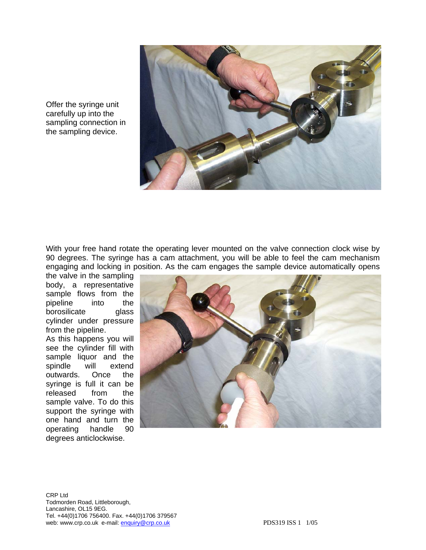Offer the syringe unit carefully up into the sampling connection in the sampling device.



With your free hand rotate the operating lever mounted on the valve connection clock wise by 90 degrees. The syringe has a cam attachment, you will be able to feel the cam mechanism engaging and locking in position. As the cam engages the sample device automatically opens

the valve in the sampling body, a representative sample flows from the pipeline into the borosilicate glass cylinder under pressure from the pipeline. As this happens you will see the cylinder fill with sample liquor and the spindle will extend outwards. Once the syringe is full it can be released from the sample valve. To do this support the syringe with one hand and turn the operating handle 90 degrees anticlockwise.



CRP Ltd Todmorden Road, Littleborough, Lancashire, OL15 9EG. Tel. +44(0)1706 756400. Fax. +44(0)1706 379567 web: www.crp.co.uk e-mail:  $\frac{equivize{C} \cdot C}$  enguiry@crp.co.uk PDS319 ISS 1 1/05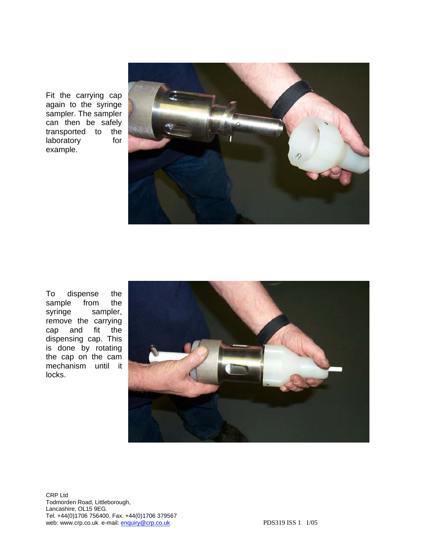Fit the carrying cap again to the syringe sampler. The sampler can then be safely transported to the laboratory for example.



To dispense the sample from the syringe sampler, remove the carrying cap and fit the dispensing cap. This is done by rotating the cap on the cam mechanism until it locks.



CRP Ltd Todmorden Road, Littleborough, Lancashire, OL15 9EG. Tel. +44(0)1706 756400. Fax. +44(0)1706 379567 web: www.crp.co.uk e-mail: enquiry@crp.co.uk PDS319 ISS 1 1/05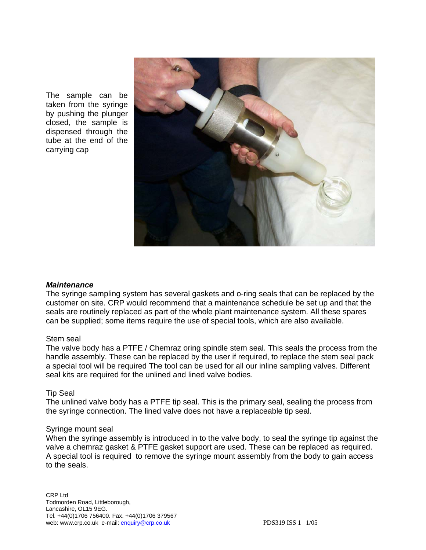The sample can be taken from the syringe by pushing the plunger closed, the sample is dispensed through the tube at the end of the carrying cap



## *Maintenance*

The syringe sampling system has several gaskets and o-ring seals that can be replaced by the customer on site. CRP would recommend that a maintenance schedule be set up and that the seals are routinely replaced as part of the whole plant maintenance system. All these spares can be supplied; some items require the use of special tools, which are also available.

## Stem seal

The valve body has a PTFE / Chemraz oring spindle stem seal. This seals the process from the handle assembly. These can be replaced by the user if required, to replace the stem seal pack a special tool will be required The tool can be used for all our inline sampling valves. Different seal kits are required for the unlined and lined valve bodies.

## Tip Seal

The unlined valve body has a PTFE tip seal. This is the primary seal, sealing the process from the syringe connection. The lined valve does not have a replaceable tip seal.

## Syringe mount seal

When the syringe assembly is introduced in to the valve body, to seal the syringe tip against the valve a chemraz gasket & PTFE gasket support are used. These can be replaced as required. A special tool is required to remove the syringe mount assembly from the body to gain access to the seals.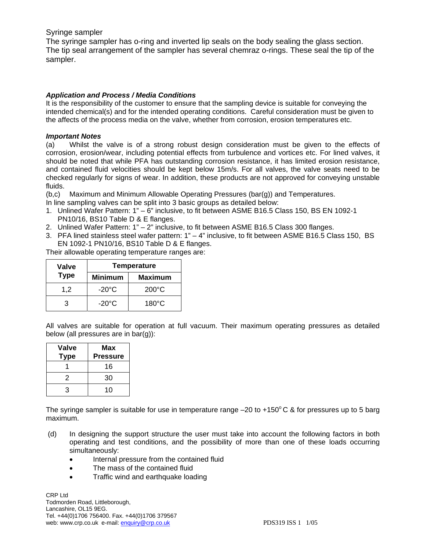## Syringe sampler

The syringe sampler has o-ring and inverted lip seals on the body sealing the glass section. The tip seal arrangement of the sampler has several chemraz o-rings. These seal the tip of the sampler.

## *Application and Process / Media Conditions*

It is the responsibility of the customer to ensure that the sampling device is suitable for conveying the intended chemical(s) and for the intended operating conditions. Careful consideration must be given to the affects of the process media on the valve, whether from corrosion, erosion temperatures etc.

#### *Important Notes*

(a) Whilst the valve is of a strong robust design consideration must be given to the effects of corrosion, erosion/wear, including potential effects from turbulence and vortices etc. For lined valves, it should be noted that while PFA has outstanding corrosion resistance, it has limited erosion resistance, and contained fluid velocities should be kept below 15m/s. For all valves, the valve seats need to be checked regularly for signs of wear. In addition, these products are not approved for conveying unstable fluids.

(b,c) Maximum and Minimum Allowable Operating Pressures (bar(g)) and Temperatures.

- In line sampling valves can be split into 3 basic groups as detailed below:
- 1. Unlined Wafer Pattern: 1" 6" inclusive, to fit between ASME B16.5 Class 150, BS EN 1092-1 PN10/16, BS10 Table D & E flanges.
- 2. Unlined Wafer Pattern: 1" 2" inclusive, to fit between ASME B16.5 Class 300 flanges.
- 3. PFA lined stainless steel wafer pattern: 1" 4" inclusive, to fit between ASME B16.5 Class 150, BS EN 1092-1 PN10/16, BS10 Table D & E flanges.

Their allowable operating temperature ranges are:

| Valve       | <b>Temperature</b> |                 |
|-------------|--------------------|-----------------|
| <b>Type</b> | <b>Minimum</b>     | <b>Maximum</b>  |
| 1.2         | $-20^{\circ}$ C    | $200^{\circ}$ C |
| З           | $-20^{\circ}$ C    | $180^{\circ}$ C |

All valves are suitable for operation at full vacuum. Their maximum operating pressures as detailed below (all pressures are in bar(g)):

| <b>Valve</b><br><b>Type</b> | Max<br><b>Pressure</b> |
|-----------------------------|------------------------|
|                             | 16                     |
| 2                           | 30                     |
| З                           | 10                     |

The syringe sampler is suitable for use in temperature range  $-20$  to  $+150^{\circ}$ C & for pressures up to 5 barg maximum.

- (d) In designing the support structure the user must take into account the following factors in both operating and test conditions, and the possibility of more than one of these loads occurring simultaneously:
	- Internal pressure from the contained fluid
	- The mass of the contained fluid
	- Traffic wind and earthquake loading

CRP Ltd Todmorden Road, Littleborough, Lancashire, OL15 9EG. Tel. +44(0)1706 756400. Fax. +44(0)1706 379567 web: www.crp.co.uk e-mail: enquiry@crp.co.uk example and the enduration of the PDS319 ISS 1 1/05